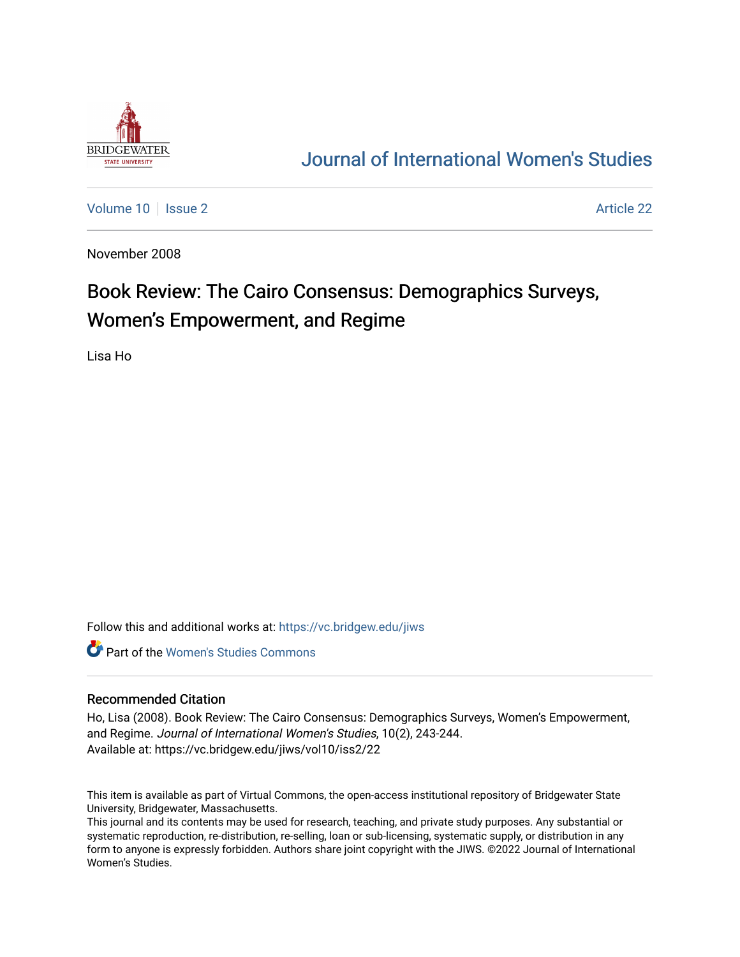

## [Journal of International Women's Studies](https://vc.bridgew.edu/jiws)

[Volume 10](https://vc.bridgew.edu/jiws/vol10) | [Issue 2](https://vc.bridgew.edu/jiws/vol10/iss2) Article 22

November 2008

# Book Review: The Cairo Consensus: Demographics Surveys, Women's Empowerment, and Regime

Lisa Ho

Follow this and additional works at: [https://vc.bridgew.edu/jiws](https://vc.bridgew.edu/jiws?utm_source=vc.bridgew.edu%2Fjiws%2Fvol10%2Fiss2%2F22&utm_medium=PDF&utm_campaign=PDFCoverPages)

**C** Part of the Women's Studies Commons

#### Recommended Citation

Ho, Lisa (2008). Book Review: The Cairo Consensus: Demographics Surveys, Women's Empowerment, and Regime. Journal of International Women's Studies, 10(2), 243-244. Available at: https://vc.bridgew.edu/jiws/vol10/iss2/22

This item is available as part of Virtual Commons, the open-access institutional repository of Bridgewater State University, Bridgewater, Massachusetts.

This journal and its contents may be used for research, teaching, and private study purposes. Any substantial or systematic reproduction, re-distribution, re-selling, loan or sub-licensing, systematic supply, or distribution in any form to anyone is expressly forbidden. Authors share joint copyright with the JIWS. ©2022 Journal of International Women's Studies.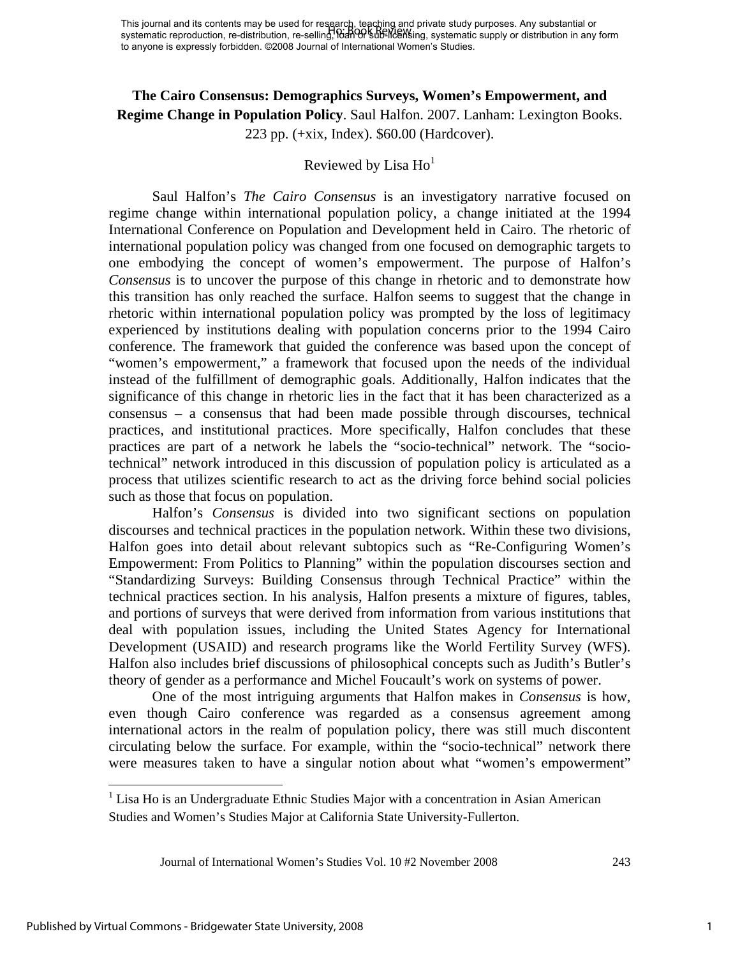### **The Cairo Consensus: Demographics Surveys, Women's Empowerment, and Regime Change in Population Policy**. Saul Halfon. 2007. Lanham: Lexington Books. 223 pp. (+xix, Index). \$60.00 (Hardcover).

## Reviewed by Lisa  $Ho<sup>1</sup>$

 Saul Halfon's *The Cairo Consensus* is an investigatory narrative focused on regime change within international population policy, a change initiated at the 1994 International Conference on Population and Development held in Cairo. The rhetoric of international population policy was changed from one focused on demographic targets to one embodying the concept of women's empowerment. The purpose of Halfon's *Consensus* is to uncover the purpose of this change in rhetoric and to demonstrate how this transition has only reached the surface. Halfon seems to suggest that the change in rhetoric within international population policy was prompted by the loss of legitimacy experienced by institutions dealing with population concerns prior to the 1994 Cairo conference. The framework that guided the conference was based upon the concept of "women's empowerment," a framework that focused upon the needs of the individual instead of the fulfillment of demographic goals. Additionally, Halfon indicates that the significance of this change in rhetoric lies in the fact that it has been characterized as a consensus – a consensus that had been made possible through discourses, technical practices, and institutional practices. More specifically, Halfon concludes that these practices are part of a network he labels the "socio-technical" network. The "sociotechnical" network introduced in this discussion of population policy is articulated as a process that utilizes scientific research to act as the driving force behind social policies such as those that focus on population.

 Halfon's *Consensus* is divided into two significant sections on population discourses and technical practices in the population network. Within these two divisions, Halfon goes into detail about relevant subtopics such as "Re-Configuring Women's Empowerment: From Politics to Planning" within the population discourses section and "Standardizing Surveys: Building Consensus through Technical Practice" within the technical practices section. In his analysis, Halfon presents a mixture of figures, tables, and portions of surveys that were derived from information from various institutions that deal with population issues, including the United States Agency for International Development (USAID) and research programs like the World Fertility Survey (WFS). Halfon also includes brief discussions of philosophical concepts such as Judith's Butler's theory of gender as a performance and Michel Foucault's work on systems of power.

 One of the most intriguing arguments that Halfon makes in *Consensus* is how, even though Cairo conference was regarded as a consensus agreement among international actors in the realm of population policy, there was still much discontent circulating below the surface. For example, within the "socio-technical" network there were measures taken to have a singular notion about what "women's empowerment"

 $<sup>1</sup>$  Lisa Ho is an Undergraduate Ethnic Studies Major with a concentration in Asian American</sup> Studies and Women's Studies Major at California State University-Fullerton.